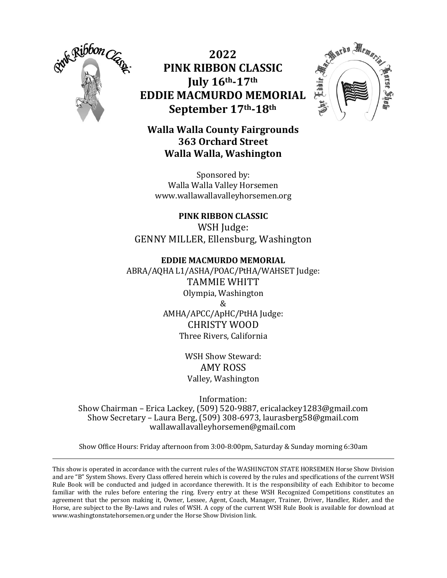

**2022 PINK RIBBON CLASSIC July 16th-17th EDDIE MACMURDO MEMORIAL September 17th-18th**



# **Walla Walla County Fairgrounds 363 Orchard Street Walla Walla, Washington**

Sponsored by: Walla Walla Valley Horsemen www.wallawallavalleyhorsemen.org

**PINK RIBBON CLASSIC** WSH Judge: GENNY MILLER, Ellensburg, Washington

## **EDDIE MACMURDO MEMORIAL**

ABRA/AQHA L1/ASHA/POAC/PtHA/WAHSET Judge: TAMMIE WHITT Olympia, Washington & AMHA/APCC/ApHC/PtHA Judge: CHRISTY WOOD Three Rivers, California

> WSH Show Steward: AMY ROSS Valley, Washington

Information: Show Chairman – Erica Lackey, (509) 520-9887, ericalackey1283@gmail.com Show Secretary – Laura Berg, (509) 308-6973, laurasberg58@gmail.com wallawallavalleyhorsemen@gmail.com

Show Office Hours: Friday afternoon from 3:00-8:00pm, Saturday & Sunday morning 6:30am

This show is operated in accordance with the current rules of the WASHINGTON STATE HORSEMEN Horse Show Division and are "B" System Shows. Every Class offered herein which is covered by the rules and specifications of the current WSH Rule Book will be conducted and judged in accordance therewith. It is the responsibility of each Exhibitor to become familiar with the rules before entering the ring. Every entry at these WSH Recognized Competitions constitutes an agreement that the person making it, Owner, Lessee, Agent, Coach, Manager, Trainer, Driver, Handler, Rider, and the Horse, are subject to the By-Laws and rules of WSH. A copy of the current WSH Rule Book is available for download at www.washingtonstatehorsemen.org under the Horse Show Division link.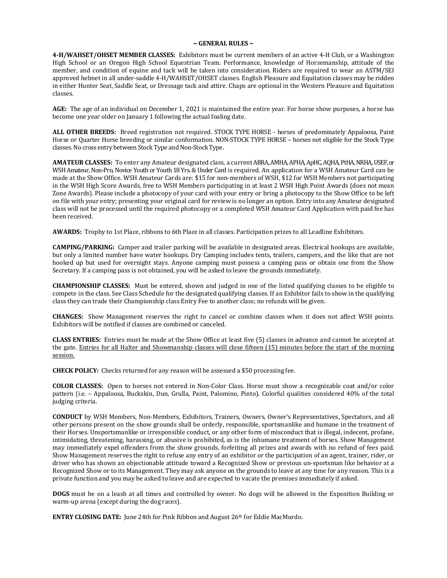### **~ GENERAL RULES ~**

**4-H/WAHSET/OHSET MEMBER CLASSES:** Exhibitors must be current members of an active 4-H Club, or a Washington High School or an Oregon High School Equestrian Team. Performance, knowledge of Horsemanship, attitude of the member, and condition of equine and tack will be taken into consideration*.* Riders are required to wear an ASTM/SEI approved helmet in all under-saddle 4-H/WAHSET/OHSET classes. English Pleasure and Equitation classes may be ridden in either Hunter Seat, Saddle Seat, or Dressage tack and attire. Chaps are optional in the Western Pleasure and Equitation classes.

**AGE:** The age of an individual on December 1, 2021 is maintained the entire year. For horse show purposes, a horse has become one year older on January 1 following the actual foaling date.

**ALL OTHER BREEDS:** Breed registration not required. STOCK TYPE HORSE - horses of predominately Appaloosa, Paint Horse or Quarter Horse breeding or similar conformation. NON-STOCK TYPE HORSE – horses not eligible for the Stock Type classes.No cross entry between Stock Type and Non-Stock Type.

**AMATEUR CLASSES:** To enter any Amateur designated class, a current ABRA, AMHA, APHA, ApHC, AQHA, PtHA, NRHA, USEF, or WSH Amateur, Non-Pro, Novice Youth or Youth 18 Yrs. & Under Card is required. An application for a WSH Amateur Card can be made at the Show Office. WSH Amateur Cards are: \$15 for non-members of WSH, \$12 for WSH Members not participating in the WSH High Score Awards, free to WSH Members participating in at least 2 WSH High Point Awards (does not mean Zone Awards). Please include a photocopy of your card with your entry or bring a photocopy to the Show Office to be left on file with your entry; presenting your original card for review is no longer an option. Entry into any Amateur designated class will not be processed until the required photocopy or a completed WSH Amateur Card Application with paid fee has been received.

**AWARDS:** Trophy to 1st Place, ribbons to 6th Place in all classes. Participation prizes to all Leadline Exhibitors.

**CAMPING/PARKING:** Camper and trailer parking will be available in designated areas. Electrical hookups are available, but only a limited number have water hookups. Dry Camping includes tents, trailers, campers, and the like that are not hooked up but used for overnight stays. Anyone camping must possess a camping pass or obtain one from the Show Secretary. If a camping pass is not obtained, you will be asked to leave the grounds immediately.

**CHAMPIONSHIP CLASSES:** Must be entered, shown and judged in one of the listed qualifying classes to be eligible to compete in the class. See Class Schedule for the designated qualifying classes. If an Exhibitor fails to show in the qualifying class they can trade their Championship class Entry Fee to another class; no refunds will be given.

**CHANGES:** Show Management reserves the right to cancel or combine classes when it does not affect WSH points. Exhibitors will be notified if classes are combined or canceled.

**CLASS ENTRIES:** Entries must be made at the Show Office at least five (5) classes in advance and cannot be accepted at the gate. Entries for all Halter and Showmanship classes will close fifteen (15) minutes before the start of the morning session.

**CHECK POLICY:** Checks returned for any reason will be assessed a \$50 processing fee.

**COLOR CLASSES:** Open to horses not entered in Non-Color Class. Horse must show a recognizable coat and/or color pattern (i.e. – Appaloosa, Buckskin, Dun, Grulla, Paint, Palomino, Pinto). Colorful qualities considered 40% of the total judging criteria.

**CONDUCT** by WSH Members, Non-Members, Exhibitors, Trainers, Owners, Owner's Representatives, Spectators, and all other persons present on the show grounds shall be orderly, responsible, sportsmanlike and humane in the treatment of their Horses. Unsportsmanlike or irresponsible conduct, or any other form of misconduct that is illegal, indecent, profane, intimidating, threatening, harassing, or abusive is prohibited, as is the inhumane treatment of horses. Show Management may immediately expel offenders from the show grounds, forfeiting all prizes and awards with no refund of fees paid. Show Management reserves the right to refuse any entry of an exhibitor or the participation of an agent, trainer, rider, or driver who has shown an objectionable attitude toward a Recognized Show or previous un-sportsman like behavior at a Recognized Show or to its Management. They may ask anyone on the grounds to leave at any time for any reason. This is a private function and you may be asked to leave and are expected to vacate the premises immediately if asked.

**DOGS** must be on a leash at all times and controlled by owner. No dogs will be allowed in the Exposition Building or warm-up arena (except during the dog races).

**ENTRY CLOSING DATE:** June 24th for Pink Ribbon and August 26<sup>th</sup> for Eddie MacMurdo.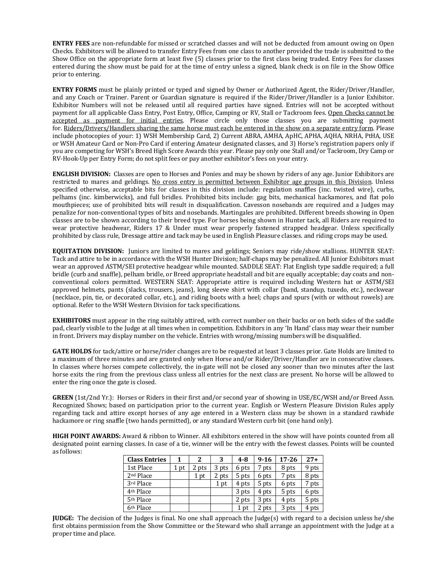**ENTRY FEES** are non-refundable for missed or scratched classes and will not be deducted from amount owing on Open Checks. Exhibitors will be allowed to transfer Entry Fees from one class to another provided the trade is submitted to the Show Office on the appropriate form at least five (5) classes prior to the first class being traded. Entry Fees for classes entered during the show must be paid for at the time of entry unless a signed, blank check is on file in the Show Office prior to entering.

**ENTRY FORMS** must be plainly printed or typed and signed by Owner or Authorized Agent, the Rider/Driver/Handler, and any Coach or Trainer. Parent or Guardian signature is required if the Rider/Driver/Handler is a Junior Exhibitor. Exhibitor Numbers will not be released until all required parties have signed. Entries will not be accepted without payment for all applicable Class Entry, Post Entry, Office, Camping or RV, Stall or Tackroom fees. Open Checks cannot be accepted as payment for initial entries. Please circle only those classes you are submitting payment for. Riders/Drivers/Handlers sharing the same horse must each be entered in the show on a separate entry form. Please include photocopies of your: 1) WSH Membership Card, 2) Current ABRA, AMHA, ApHC, APHA, AQHA, NRHA, PtHA, USE or WSH Amateur Card or Non-Pro Card if entering Amateur designated classes, and 3) Horse's registration papers only if you are competing for WSH's Breed High Score Awards this year. Please pay only one Stall and/or Tackroom, Dry Camp or RV-Hook-Up per Entry Form; do not split fees or pay another exhibitor's fees on your entry.

**ENGLISH DIVISION:** Classes are open to Horses and Ponies and may be shown by riders of any age. Junior Exhibitors are restricted to mares and geldings. No cross entry is permitted between Exhibitor age groups in this Division. Unless specified otherwise, acceptable bits for classes in this division include: regulation snaffles (inc. twisted wire), curbs, pelhams (inc. kimberwicks), and full bridles. Prohibited bits include: gag bits, mechanical hackamores, and flat polo mouthpieces; use of prohibited bits will result in disqualification. Cavesson nosebands are required and a Judges may penalize for non-conventional types of bits and nosebands. Martingales are prohibited. Different breeds showing in Open classes are to be shown according to their breed type. For horses being shown in Hunter tack, all Riders are required to wear protective headwear, Riders 17 & Under must wear properly fastened strapped headgear. Unless specifically prohibited by class rule, Dressage attire and tack may be used in English Pleasure classes. and riding crops may be used.

**EQUITATION DIVISION:** Juniors are limited to mares and geldings; Seniors may ride/show stallions. HUNTER SEAT: Tack and attire to be in accordance with the WSH Hunter Division; half-chaps may be penalized. All Junior Exhibitors must wear an approved ASTM/SEI protective headgear while mounted. SADDLE SEAT: Flat English type saddle required; a full bridle (curb and snaffle), pelham bridle, or Breed appropriate headstall and bit are equally acceptable; day coats and nonconventional colors permitted. WESTERN SEAT: Appropriate attire is required including Western hat or ASTM/SEI approved helmets, pants (slacks, trousers, jeans), long sleeve shirt with collar (band, standup, tuxedo, etc.), neckwear (necklace, pin, tie, or decorated collar, etc.), and riding boots with a heel; chaps and spurs (with or without rowels) are optional. Refer to the WSH Western Division for tack specifications.

**EXHIBITORS** must appear in the ring suitably attired, with correct number on their backs or on both sides of the saddle pad, clearly visible to the Judge at all times when in competition. Exhibitors in any 'In Hand' class may wear their number in front. Drivers may display number on the vehicle. Entries with wrong/missing numbers will be disqualified.

**GATE HOLDS** for tack/attire or horse/rider changes are to be requested at least 3 classes prior. Gate Holds are limited to a maximum of three minutes and are granted only when Horse and/or Rider/Driver/Handler are in consecutive classes. In classes where horses compete collectively, the in-gate will not be closed any sooner than two minutes after the last horse exits the ring from the previous class unless all entries for the next class are present. No horse will be allowed to enter the ring once the gate is closed.

**GREEN** (1st/2nd Yr.): Horses or Riders in their first and/or second year of showing in USE/EC/WSH and/or Breed Assn. Recognized Shows; based on participation prior to the current year. English or Western Pleasure Division Rules apply regarding tack and attire except horses of any age entered in a Western class may be shown in a standard rawhide hackamore or ring snaffle (two hands permitted), or any standard Western curb bit (one hand only).

**HIGH POINT AWARDS:** Award & ribbon to Winner. All exhibitors entered in the show will have points counted from all designated point earning classes. In case of a tie, winner will be the entry with the fewest classes. Points will be counted as follows:

| <b>Class Entries</b>  |    | 2     | 3     | $4 - 8$ | $9-16$ | $17 - 26$ | $27+$ |
|-----------------------|----|-------|-------|---------|--------|-----------|-------|
| 1st Place             | pt | 2 pts | 3 pts | 6 pts   | pts    | 8 pts     | 9 pts |
| 2 <sup>nd</sup> Place |    | pt    | 2 pts | 5 pts   | 6 pts  | 7 pts     | 8 pts |
| 3rd Place             |    |       | pt    | 4 pts   | 5 pts  | 6 pts     | 7 pts |
| 4 <sup>th</sup> Place |    |       |       | 3 pts   | 4 pts  | 5 pts     | 6 pts |
| 5 <sup>th</sup> Place |    |       |       | 2 pts   | 3 pts  | 4 pts     | 5 pts |
| 6 <sup>th</sup> Place |    |       |       | pt      | pts    | 3 pts     | 4 pts |

**JUDGE:** The decision of the Judges is final. No one shall approach the Judge(s) with regard to a decision unless he/she first obtains permission from the Show Committee or the Steward who shall arrange an appointment with the Judge at a proper time and place.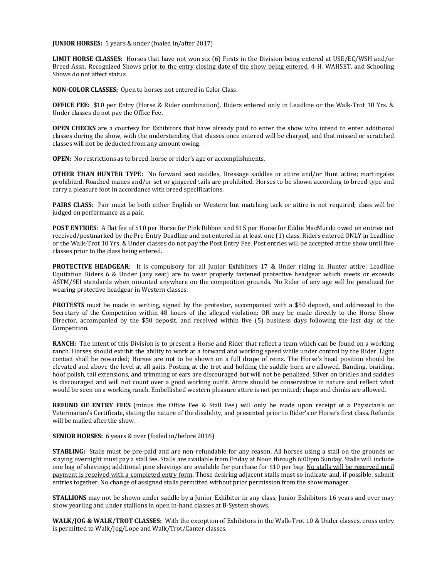**JUNIOR HORSES:** 5 years & under (foaled in/after 2017)

**LIMIT HORSE CLASSES:** Horses that have not won six (6) Firsts in the Division being entered at USE/EC/WSH and/or Breed Assn. Recognized Shows prior to the entry closing date of the show being entered. 4-H, WAHSET, and Schooling Shows do not affect status.

**NON-COLOR CLASSES:** Open to horses not entered in Color Class.

**OFFICE FEE:** \$10 per Entry (Horse & Rider combination). Riders entered only in Leadline or the Walk-Trot 10 Yrs. & Under classes do not pay the Office Fee.

**OPEN CHECKS** are a courtesy for Exhibitors that have already paid to enter the show who intend to enter additional classes during the show, with the understanding that classes once entered will be charged, and that missed or scratched classes will not be deducted from any amount owing.

**OPEN:** No restrictions as to breed, horse or rider's age or accomplishments.

**OTHER THAN HUNTER TYPE:** No forward seat saddles, Dressage saddles or attire and/or Hunt attire; martingales prohibited. Roached manes and/or set or gingered tails are prohibited. Horses to be shown according to breed type and carry a pleasure foot in accordance with breed specifications.

**PAIRS CLASS**:Pair must be both either English or Western but matching tack or attire is not required; class will be judged on performance as a pair.

**POST ENTRIES**: A flat fee of \$10 per Horse for Pink Ribbon and \$15 per Horse for Eddie MacMurdo owed on entries not received/postmarked by the Pre-Entry Deadline and not entered in at least one (1) class. Riders entered ONLY in Leadline or the Walk-Trot 10 Yrs. & Under classes do not pay the Post Entry Fee. Post entries will be accepted at the show until five classes prior to the class being entered.

**PROTECTIVE HEADGEAR**: It is compulsory for all Junior Exhibitors 17 & Under riding in Hunter attire; Leadline Equitation Riders 6 & Under (any seat) are to wear properly fastened protective headgear which meets or exceeds ASTM/SEI standards when mounted anywhere on the competition grounds. No Rider of any age will be penalized for wearing protective headgear in Western classes.

**PROTESTS** must be made in writing, signed by the protestor, accompanied with a \$50 deposit, and addressed to the Secretary of the Competition within 48 hours of the alleged violation; OR may be made directly to the Horse Show Director, accompanied by the \$50 deposit, and received within five (5) business days following the last day of the Competition.

**RANCH:** The intent of this Division is to present a Horse and Rider that reflect a team which can be found on a working ranch. Horses should exhibit the ability to work at a forward and working speed while under control by the Rider. Light contact shall be rewarded; Horses are not to be shown on a full drape of reins. The Horse's head position should be elevated and above the level at all gaits. Posting at the trot and holding the saddle horn are allowed. Banding, braiding, hoof polish, tail extensions, and trimming of ears are discouraged but will not be penalized. Silver on bridles and saddles is discouraged and will not count over a good working outfit. Attire should be conservative in nature and reflect what would be seen on a working ranch. Embellished western pleasure attire is not permitted; chaps and chinks are allowed.

**REFUND OF ENTRY FEES** (minus the Office Fee & Stall Fee) will only be made upon receipt of a Physician's or Veterinarian's Certificate, stating the nature of the disability, and presented prior to Rider's or Horse's first class. Refunds will be mailed after the show.

### **SENIOR HORSES:** 6 years & over (foaled in/before 2016)

**STABLING:** Stalls must be pre-paid and are non-refundable for any reason. All horses using a stall on the grounds or staying overnight must pay a stall fee. Stalls are available from Friday at Noon through 6:00pm Sunday. Stalls will include one bag of shavings; additional pine shavings are available for purchase for \$10 per bag. No stalls will be reserved until payment is received with a completed entry form**.** Those desiring adjacent stalls must so indicate and, if possible, submit entries together. No change of assigned stalls permitted without prior permission from the show manager.

**STALLIONS** may not be shown under saddle by a Junior Exhibitor in any class; Junior Exhibitors 16 years and over may show yearling and under stallions in open in-hand classes at B-System shows.

**WALK/JOG & WALK/TROT CLASSES:** With the exception of Exhibitors in the Walk-Trot 10 & Under classes, cross entry is permitted to Walk/Jog/Lope and Walk/Trot/Canter classes.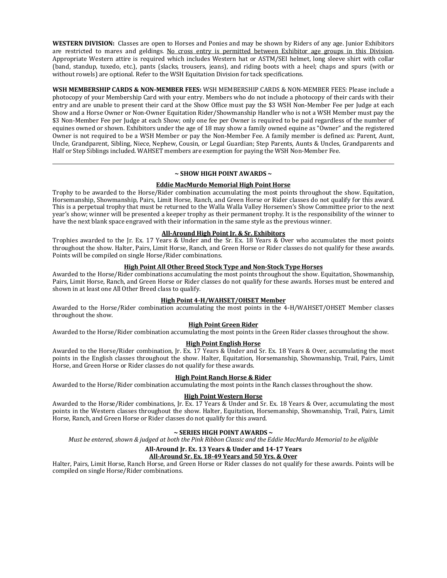**WESTERN DIVISION:** Classes are open to Horses and Ponies and may be shown by Riders of any age. Junior Exhibitors are restricted to mares and geldings*.* No cross entry is permitted between Exhibitor age groups in this Division. Appropriate Western attire is required which includes Western hat or ASTM/SEI helmet, long sleeve shirt with collar (band, standup, tuxedo, etc.), pants (slacks, trousers, jeans), and riding boots with a heel; chaps and spurs (with or without rowels) are optional*.* Refer to the WSH Equitation Division for tack specifications.

**WSH MEMBERSHIP CARDS & NON-MEMBER FEES:** WSH MEMBERSHIP CARDS & NON-MEMBER FEES: Please include a photocopy of your Membership Card with your entry. Members who do not include a photocopy of their cards with their entry and are unable to present their card at the Show Office must pay the \$3 WSH Non-Member Fee per Judge at each Show and a Horse Owner or Non-Owner Equitation Rider/Showmanship Handler who is not a WSH Member must pay the \$3 Non-Member Fee per Judge at each Show; only one fee per Owner is required to be paid regardless of the number of equines owned or shown. Exhibitors under the age of 18 may show a family owned equine as "Owner" and the registered Owner is not required to be a WSH Member or pay the Non-Member Fee. A family member is defined as: Parent, Aunt, Uncle, Grandparent, Sibling, Niece, Nephew, Cousin, or Legal Guardian; Step Parents, Aunts & Uncles, Grandparents and Half or Step Siblings included. WAHSET members are exemption for paying the WSH Non-Member Fee.

## **~ SHOW HIGH POINT AWARDS ~**

## **Eddie MacMurdo Memorial High Point Horse**

Trophy to be awarded to the Horse/Rider combination accumulating the most points throughout the show. Equitation, Horsemanship, Showmanship, Pairs, Limit Horse, Ranch, and Green Horse or Rider classes do not qualify for this award. This is a perpetual trophy that must be returned to the Walla Walla Valley Horsemen's Show Committee prior to the next year's show; winner will be presented a keeper trophy as their permanent trophy. It is the responsibility of the winner to have the next blank space engraved with their information in the same style as the previous winner.

## **All-Around High Point Jr. & Sr. Exhibitors**

Trophies awarded to the Jr. Ex. 17 Years & Under and the Sr. Ex. 18 Years & Over who accumulates the most points throughout the show. Halter, Pairs, Limit Horse, Ranch, and Green Horse or Rider classes do not qualify for these awards. Points will be compiled on single Horse/Rider combinations.

## **High Point All Other Breed Stock Type and Non-Stock Type Horses**

Awarded to the Horse/Rider combinations accumulating the most points throughout the show. Equitation, Showmanship, Pairs, Limit Horse, Ranch, and Green Horse or Rider classes do not qualify for these awards. Horses must be entered and shown in at least one All Other Breed class to qualify.

## **High Point 4-H/WAHSET/OHSET Member**

Awarded to the Horse/Rider combination accumulating the most points in the 4-H/WAHSET/OHSET Member classes throughout the show.

## **High Point Green Rider**

Awarded to the Horse/Rider combination accumulating the most points in the Green Rider classes throughout the show.

## **High Point English Horse**

Awarded to the Horse/Rider combination, Jr. Ex. 17 Years & Under and Sr. Ex. 18 Years & Over, accumulating the most points in the English classes throughout the show. Halter, Equitation, Horsemanship, Showmanship, Trail, Pairs, Limit Horse, and Green Horse or Rider classes do not qualify for these awards.

## **High Point Ranch Horse & Rider**

Awarded to the Horse/Rider combination accumulating the most points in the Ranch classes throughout the show.

## **High Point Western Horse**

Awarded to the Horse/Rider combinations, Jr. Ex. 17 Years & Under and Sr. Ex. 18 Years & Over, accumulating the most points in the Western classes throughout the show. Halter, Equitation, Horsemanship, Showmanship, Trail, Pairs, Limit Horse, Ranch, and Green Horse or Rider classes do not qualify for this award.

## **~ SERIES HIGH POINT AWARDS ~**

*Must be entered, shown & judged at both the Pink Ribbon Classic and the Eddie MacMurdo Memorial to be eligible*

## **All-Around Jr. Ex. 13 Years & Under and 14-17 Years**

## **All-Around Sr. Ex. 18-49 Years and 50 Yrs. & Over**

Halter, Pairs, Limit Horse, Ranch Horse, and Green Horse or Rider classes do not qualify for these awards. Points will be compiled on single Horse/Rider combinations.